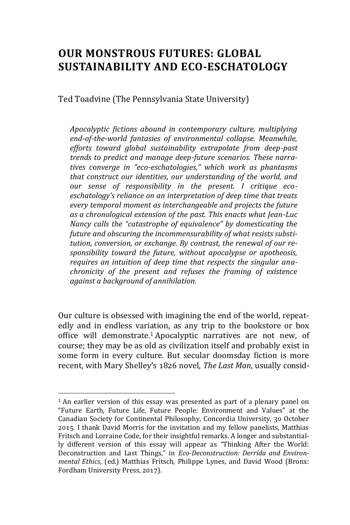## **OUR MONSTROUS FUTURES: GLOBAL SUSTAINABILITY AND ECO-ESCHATOLOGY**

Ted Toadvine (The Pennsylvania State University)

*Apocalyptic fictions abound in contemporary culture, multiplying end-of-the-world fantasies of environmental collapse. Meanwhile, efforts toward global sustainability extrapolate from deep-past trends to predict and manage deep-future scenarios. These narratives converge in "eco-eschatologies," which work as phantasms that construct our identities, our understanding of the world, and our sense of responsibility in the present. I critique ecoeschatology's reliance on an interpretation of deep time that treats every temporal moment as interchangeable and projects the future as a chronological extension of the past. This enacts what Jean-Luc Nancy calls the "catastrophe of equivalence" by domesticating the future and obscuring the incommensurability of what resists substitution, conversion, or exchange. By contrast, the renewal of our responsibility toward the future, without apocalypse or apotheosis, requires an intuition of deep time that respects the singular anachronicity of the present and refuses the framing of existence against a background of annihilation.*

Our culture is obsessed with imagining the end of the world, repeatedly and in endless variation, as any trip to the bookstore or box office will demonstrate.<sup>1</sup> Apocalyptic narratives are not new, of course; they may be as old as civilization itself and probably exist in some form in every culture. But secular doomsday fiction is more recent, with Mary Shelley's 1826 novel, *The Last Man*, usually consid-

<sup>1</sup> An earlier version of this essay was presented as part of a plenary panel on "Future Earth, Future Life, Future People: Environment and Values" at the Canadian Society for Continental Philosophy, Concordia University, 30 October 2015. I thank David Morris for the invitation and my fellow panelists, Matthias Fritsch and Lorraine Code, for their insightful remarks. A longer and substantially different version of this essay will appear as "Thinking After the World: Deconstruction and Last Things," in *Eco-Deconstruction: Derrida and Environmental Ethics*, (ed.) Matthias Fritsch, Philippe Lynes, and David Wood (Bronx: Fordham University Press, 2017).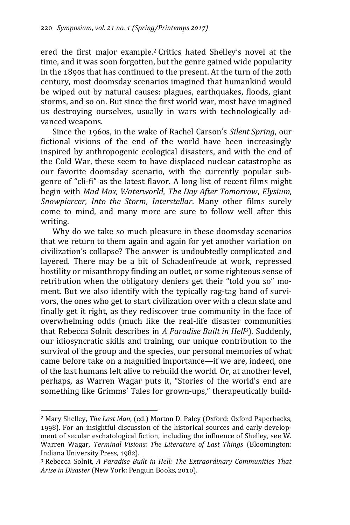ered the first major example.<sup>2</sup> Critics hated Shelley's novel at the time, and it was soon forgotten, but the genre gained wide popularity in the 1890s that has continued to the present. At the turn of the 20th century, most doomsday scenarios imagined that humankind would be wiped out by natural causes: plagues, earthquakes, floods, giant storms, and so on. But since the first world war, most have imagined us destroying ourselves, usually in wars with technologically advanced weapons.

Since the 1960s, in the wake of Rachel Carson's *Silent Spring*, our fictional visions of the end of the world have been increasingly inspired by anthropogenic ecological disasters, and with the end of the Cold War, these seem to have displaced nuclear catastrophe as our favorite doomsday scenario, with the currently popular subgenre of "cli-fi" as the latest flavor. A long list of recent films might begin with *Mad Max, Waterworld*, *The Day After Tomorrow*, *Elysium, Snowpiercer*, *Into the Storm*, *Interstellar*. Many other films surely come to mind, and many more are sure to follow well after this writing.

Why do we take so much pleasure in these doomsday scenarios that we return to them again and again for yet another variation on civilization's collapse? The answer is undoubtedly complicated and layered. There may be a bit of Schadenfreude at work, repressed hostility or misanthropy finding an outlet, or some righteous sense of retribution when the obligatory deniers get their "told you so" moment. But we also identify with the typically rag-tag band of survivors, the ones who get to start civilization over with a clean slate and finally get it right, as they rediscover true community in the face of overwhelming odds (much like the real-life disaster communities that Rebecca Solnit describes in *A Paradise Built in Hell*3). Suddenly, our idiosyncratic skills and training, our unique contribution to the survival of the group and the species, our personal memories of what came before take on a magnified importance—if we are, indeed, one of the last humans left alive to rebuild the world. Or, at another level, perhaps, as Warren Wagar puts it, "Stories of the world's end are something like Grimms' Tales for grown-ups," therapeutically build-

<sup>2</sup> Mary Shelley, *The Last Man*, (ed.) Morton D. Paley (Oxford: Oxford Paperbacks, 1998). For an insightful discussion of the historical sources and early development of secular eschatological fiction, including the influence of Shelley, see W. Warren Wagar, *Terminal Visions: The Literature of Last Things* (Bloomington: Indiana University Press, 1982).

<sup>3</sup> Rebecca Solnit, *A Paradise Built in Hell: The Extraordinary Communities That Arise in Disaster* (New York: Penguin Books, 2010).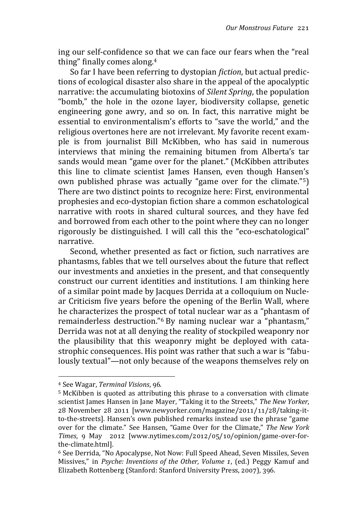ing our self-confidence so that we can face our fears when the "real thing" finally comes along.<sup>4</sup>

So far I have been referring to dystopian *fiction*, but actual predictions of ecological disaster also share in the appeal of the apocalyptic narrative: the accumulating biotoxins of *Silent Spring*, the population "bomb," the hole in the ozone layer, biodiversity collapse, genetic engineering gone awry, and so on. In fact, this narrative might be essential to environmentalism's efforts to "save the world," and the religious overtones here are not irrelevant. My favorite recent example is from journalist Bill McKibben, who has said in numerous interviews that mining the remaining bitumen from Alberta's tar sands would mean "game over for the planet." (McKibben attributes this line to climate scientist James Hansen, even though Hansen's own published phrase was actually "game over for the climate."5) There are two distinct points to recognize here: First, environmental prophesies and eco-dystopian fiction share a common eschatological narrative with roots in shared cultural sources, and they have fed and borrowed from each other to the point where they can no longer rigorously be distinguished. I will call this the "eco-eschatological" narrative.

Second, whether presented as fact or fiction, such narratives are phantasms, fables that we tell ourselves about the future that reflect our investments and anxieties in the present, and that consequently construct our current identities and institutions. I am thinking here of a similar point made by Jacques Derrida at a colloquium on Nuclear Criticism five years before the opening of the Berlin Wall, where he characterizes the prospect of total nuclear war as a "phantasm of remainderless destruction."<sup>6</sup> By naming nuclear war a "phantasm," Derrida was not at all denying the reality of stockpiled weaponry nor the plausibility that this weaponry might be deployed with catastrophic consequences. His point was rather that such a war is "fabulously textual"—not only because of the weapons themselves rely on

<sup>4</sup> See Wagar, *Terminal Visions*, 96.

<sup>5</sup> McKibben is quoted as attributing this phrase to a conversation with climate scientist James Hansen in Jane Mayer, "Taking it to the Streets," *The New Yorker*, 28 November 28 2011 [www.newyorker.com/magazine/2011/11/28/taking-itto-the-streets]. Hansen's own published remarks instead use the phrase "game over for the climate." See Hansen, "Game Over for the Climate," *The New York Times*, 9 May 2012 [www.nytimes.com/2012/05/10/opinion/game-over-forthe-climate.html].

<sup>6</sup> See Derrida, "No Apocalypse, Not Now: Full Speed Ahead, Seven Missiles, Seven Missives," in *Psyche: Inventions of the Other, Volume 1*, (ed.) Peggy Kamuf and Elizabeth Rottenberg (Stanford: Stanford University Press, 2007), 396.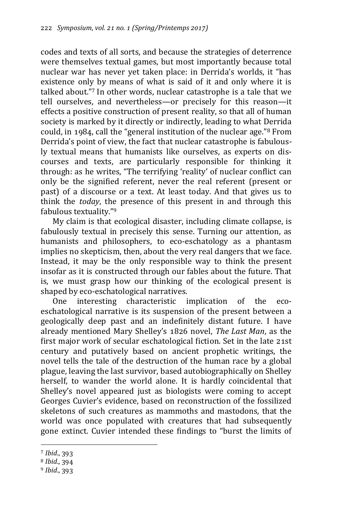codes and texts of all sorts, and because the strategies of deterrence were themselves textual games, but most importantly because total nuclear war has never yet taken place: in Derrida's worlds, it "has existence only by means of what is said of it and only where it is talked about."<sup>7</sup> In other words, nuclear catastrophe is a tale that we tell ourselves, and nevertheless—or precisely for this reason—it effects a positive construction of present reality, so that all of human society is marked by it directly or indirectly, leading to what Derrida could, in 1984, call the "general institution of the nuclear age."<sup>8</sup> From Derrida's point of view, the fact that nuclear catastrophe is fabulously textual means that humanists like ourselves, as experts on discourses and texts, are particularly responsible for thinking it through: as he writes, "The terrifying 'reality' of nuclear conflict can only be the signified referent, never the real referent (present or past) of a discourse or a text. At least today. And that gives us to think the *today*, the presence of this present in and through this fabulous textuality."<sup>9</sup>

My claim is that ecological disaster, including climate collapse, is fabulously textual in precisely this sense. Turning our attention, as humanists and philosophers, to eco-eschatology as a phantasm implies no skepticism, then, about the very real dangers that we face. Instead, it may be the only responsible way to think the present insofar as it is constructed through our fables about the future. That is, we must grasp how our thinking of the ecological present is shaped by eco-eschatological narratives.

One interesting characteristic implication of the ecoeschatological narrative is its suspension of the present between a geologically deep past and an indefinitely distant future. I have already mentioned Mary Shelley's 1826 novel, *The Last Man*, as the first major work of secular eschatological fiction. Set in the late 21st century and putatively based on ancient prophetic writings, the novel tells the tale of the destruction of the human race by a global plague, leaving the last survivor, based autobiographically on Shelley herself, to wander the world alone. It is hardly coincidental that Shelley's novel appeared just as biologists were coming to accept Georges Cuvier's evidence, based on reconstruction of the fossilized skeletons of such creatures as mammoths and mastodons, that the world was once populated with creatures that had subsequently gone extinct. Cuvier intended these findings to "burst the limits of

<sup>7</sup> *Ibid*., 393

<sup>8</sup> *Ibid*., 394

<sup>9</sup> *Ibid*., 393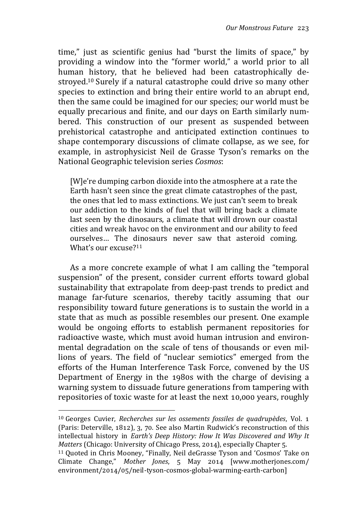time," just as scientific genius had "burst the limits of space," by providing a window into the "former world," a world prior to all human history, that he believed had been catastrophically destroyed.<sup>10</sup> Surely if a natural catastrophe could drive so many other species to extinction and bring their entire world to an abrupt end, then the same could be imagined for our species; our world must be equally precarious and finite, and our days on Earth similarly numbered. This construction of our present as suspended between prehistorical catastrophe and anticipated extinction continues to shape contemporary discussions of climate collapse, as we see, for example, in astrophysicist Neil de Grasse Tyson's remarks on the National Geographic television series *Cosmos*:

[W]e're dumping carbon dioxide into the atmosphere at a rate the Earth hasn't seen since the great climate catastrophes of the past, the ones that led to mass extinctions. We just can't seem to break our addiction to the kinds of fuel that will bring back a climate last seen by the dinosaurs, a climate that will drown our coastal cities and wreak havoc on the environment and our ability to feed ourselves… The dinosaurs never saw that asteroid coming. What's our excuse<sup>711</sup>

As a more concrete example of what I am calling the "temporal suspension" of the present, consider current efforts toward global sustainability that extrapolate from deep-past trends to predict and manage far-future scenarios, thereby tacitly assuming that our responsibility toward future generations is to sustain the world in a state that as much as possible resembles our present. One example would be ongoing efforts to establish permanent repositories for radioactive waste, which must avoid human intrusion and environmental degradation on the scale of tens of thousands or even millions of years. The field of "nuclear semiotics" emerged from the efforts of the Human Interference Task Force, convened by the US Department of Energy in the 1980s with the charge of devising a warning system to dissuade future generations from tampering with repositories of toxic waste for at least the next 10,000 years, roughly

<sup>10</sup> Georges Cuvier, *Recherches sur les ossements fossiles de quadrupèdes*, Vol. 1 (Paris: Deterville, 1812), 3, 70. See also Martin Rudwick's reconstruction of this intellectual history in *Earth's Deep History: How It Was Discovered and Why It Matters* (Chicago: University of Chicago Press, 2014), especially Chapter 5.

<sup>11</sup> Quoted in Chris Mooney, "Finally, Neil deGrasse Tyson and 'Cosmos' Take on Climate Change," *Mother Jones*, 5 May 2014 [www.motherjones.com/ environment/2014/05/neil-tyson-cosmos-global-warming-earth-carbon]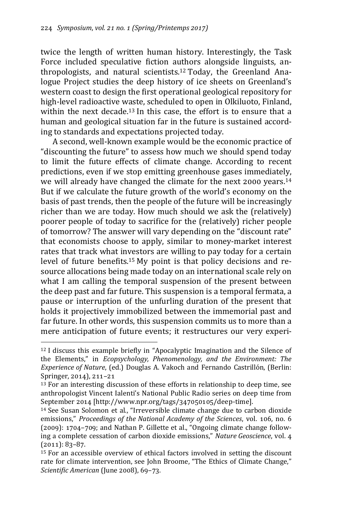twice the length of written human history. Interestingly, the Task Force included speculative fiction authors alongside linguists, anthropologists, and natural scientists.<sup>12</sup> Today, the Greenland Analogue Project studies the deep history of ice sheets on Greenland's western coast to design the first operational geological repository for high-level radioactive waste, scheduled to open in Olkiluoto, Finland, within the next decade.<sup>13</sup> In this case, the effort is to ensure that a human and geological situation far in the future is sustained according to standards and expectations projected today.

A second, well-known example would be the economic practice of "discounting the future" to assess how much we should spend today to limit the future effects of climate change. According to recent predictions, even if we stop emitting greenhouse gases immediately, we will already have changed the climate for the next 2000 years.<sup>14</sup> But if we calculate the future growth of the world's economy on the basis of past trends, then the people of the future will be increasingly richer than we are today. How much should we ask the (relatively) poorer people of today to sacrifice for the (relatively) richer people of tomorrow? The answer will vary depending on the "discount rate" that economists choose to apply, similar to money-market interest rates that track what investors are willing to pay today for a certain level of future benefits.<sup>15</sup> My point is that policy decisions and resource allocations being made today on an international scale rely on what I am calling the temporal suspension of the present between the deep past and far future. This suspension is a temporal fermata, a pause or interruption of the unfurling duration of the present that holds it projectively immobilized between the immemorial past and far future. In other words, this suspension commits us to more than a mere anticipation of future events; it restructures our very experi-

<sup>12</sup> I discuss this example briefly in "Apocalyptic Imagination and the Silence of the Elements," in *Ecopsychology, Phenomenology, and the Environment: The Experience of Nature*, (ed.) Douglas A. Vakoch and Fernando Castrillón, (Berlin: Springer, 2014), 211–21

<sup>&</sup>lt;sup>13</sup> For an interesting discussion of these efforts in relationship to deep time, see anthropologist Vincent Ialenti's National Public Radio series on deep time from September 2014 [http://www.npr.org/tags/347050105/deep-time].

<sup>14</sup> See Susan Solomon et al., "Irreversible climate change due to carbon dioxide emissions," *Proceedings of the National Academy of the Sciences*, vol. 106, no. 6 (2009): 1704–709; and Nathan P. Gillette et al., "Ongoing climate change following a complete cessation of carbon dioxide emissions," *Nature Geoscience*, vol. 4 (2011): 83–87.

<sup>&</sup>lt;sup>15</sup> For an accessible overview of ethical factors involved in setting the discount rate for climate intervention, see John Broome, "The Ethics of Climate Change," *Scientific American* (June 2008), 69–73.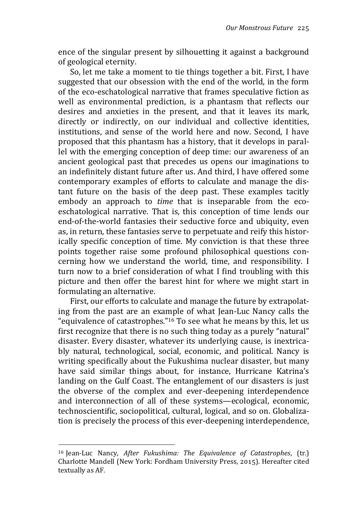ence of the singular present by silhouetting it against a background of geological eternity.

So, let me take a moment to tie things together a bit. First, I have suggested that our obsession with the end of the world, in the form of the eco-eschatological narrative that frames speculative fiction as well as environmental prediction, is a phantasm that reflects our desires and anxieties in the present, and that it leaves its mark, directly or indirectly, on our individual and collective identities, institutions, and sense of the world here and now. Second, I have proposed that this phantasm has a history, that it develops in parallel with the emerging conception of deep time: our awareness of an ancient geological past that precedes us opens our imaginations to an indefinitely distant future after us. And third, I have offered some contemporary examples of efforts to calculate and manage the distant future on the basis of the deep past. These examples tacitly embody an approach to *time* that is inseparable from the ecoeschatological narrative. That is, this conception of time lends our end-of-the-world fantasies their seductive force and ubiquity, even as, in return, these fantasies serve to perpetuate and reify this historically specific conception of time. My conviction is that these three points together raise some profound philosophical questions concerning how we understand the world, time, and responsibility. I turn now to a brief consideration of what I find troubling with this picture and then offer the barest hint for where we might start in formulating an alternative.

First, our efforts to calculate and manage the future by extrapolating from the past are an example of what Jean-Luc Nancy calls the "equivalence of catastrophes."<sup>16</sup> To see what he means by this, let us first recognize that there is no such thing today as a purely "natural" disaster. Every disaster, whatever its underlying cause, is inextricably natural, technological, social, economic, and political. Nancy is writing specifically about the Fukushima nuclear disaster, but many have said similar things about, for instance, Hurricane Katrina's landing on the Gulf Coast. The entanglement of our disasters is just the obverse of the complex and ever-deepening interdependence and interconnection of all of these systems—ecological, economic, technoscientific, sociopolitical, cultural, logical, and so on. Globalization is precisely the process of this ever-deepening interdependence,

<sup>16</sup> Jean-Luc Nancy, *After Fukushima: The Equivalence of Catastrophes*, (tr.) Charlotte Mandell (New York: Fordham University Press, 2015). Hereafter cited textually as AF.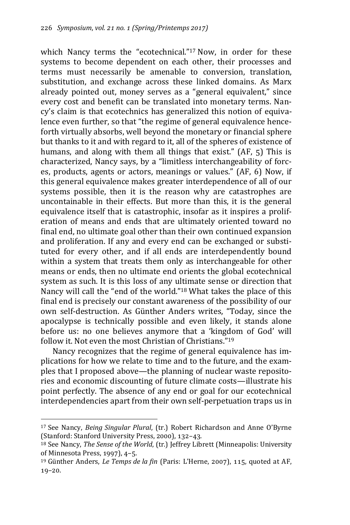which Nancy terms the "ecotechnical."<sup>17</sup> Now, in order for these systems to become dependent on each other, their processes and terms must necessarily be amenable to conversion, translation, substitution, and exchange across these linked domains. As Marx already pointed out, money serves as a "general equivalent," since every cost and benefit can be translated into monetary terms. Nancy's claim is that ecotechnics has generalized this notion of equivalence even further, so that "the regime of general equivalence henceforth virtually absorbs, well beyond the monetary or financial sphere but thanks to it and with regard to it, all of the spheres of existence of humans, and along with them all things that exist." (AF, 5) This is characterized, Nancy says, by a "limitless interchangeability of forces, products, agents or actors, meanings or values." (AF, 6) Now, if this general equivalence makes greater interdependence of all of our systems possible, then it is the reason why are catastrophes are uncontainable in their effects. But more than this, it is the general equivalence itself that is catastrophic, insofar as it inspires a proliferation of means and ends that are ultimately oriented toward no final end, no ultimate goal other than their own continued expansion and proliferation. If any and every end can be exchanged or substituted for every other, and if all ends are interdependently bound within a system that treats them only as interchangeable for other means or ends, then no ultimate end orients the global ecotechnical system as such. It is this loss of any ultimate sense or direction that Nancy will call the "end of the world."<sup>18</sup> What takes the place of this final end is precisely our constant awareness of the possibility of our own self-destruction. As Günther Anders writes, "Today, since the apocalypse is technically possible and even likely, it stands alone before us: no one believes anymore that a 'kingdom of God' will follow it. Not even the most Christian of Christians."<sup>19</sup>

Nancy recognizes that the regime of general equivalence has implications for how we relate to time and to the future, and the examples that I proposed above—the planning of nuclear waste repositories and economic discounting of future climate costs—illustrate his point perfectly. The absence of any end or goal for our ecotechnical interdependencies apart from their own self-perpetuation traps us in

<sup>17</sup> See Nancy, *Being Singular Plural*, (tr.) Robert Richardson and Anne O'Byrne (Stanford: Stanford University Press, 2000), 132–43.

<sup>18</sup> See Nancy, *The Sense of the World*, (tr.) Jeffrey Librett (Minneapolis: University of Minnesota Press, 1997), 4–5.

<sup>&</sup>lt;sup>19</sup> Günther Anders, *Le Temps de la fin* (Paris: L'Herne, 2007), 115, quoted at AF, 19–20.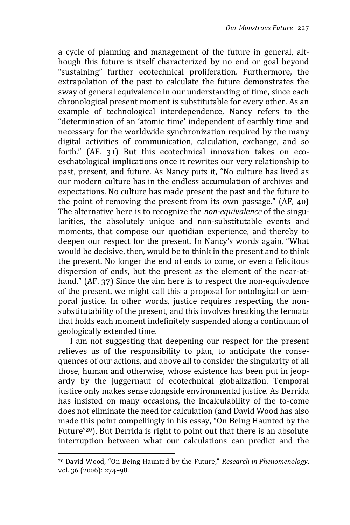a cycle of planning and management of the future in general, although this future is itself characterized by no end or goal beyond "sustaining" further ecotechnical proliferation. Furthermore, the extrapolation of the past to calculate the future demonstrates the sway of general equivalence in our understanding of time, since each chronological present moment is substitutable for every other. As an example of technological interdependence, Nancy refers to the "determination of an 'atomic time' independent of earthly time and necessary for the worldwide synchronization required by the many digital activities of communication, calculation, exchange, and so forth." (AF. 31) But this ecotechnical innovation takes on ecoeschatological implications once it rewrites our very relationship to past, present, and future. As Nancy puts it, "No culture has lived as our modern culture has in the endless accumulation of archives and expectations. No culture has made present the past and the future to the point of removing the present from its own passage." (AF, 40) The alternative here is to recognize the *non-equivalence* of the singularities, the absolutely unique and non-substitutable events and moments, that compose our quotidian experience, and thereby to deepen our respect for the present. In Nancy's words again, "What would be decisive, then, would be to think in the present and to think the present. No longer the end of ends to come, or even a felicitous dispersion of ends, but the present as the element of the near-athand." (AF. 37) Since the aim here is to respect the non-equivalence of the present, we might call this a proposal for ontological or temporal justice. In other words, justice requires respecting the nonsubstitutability of the present, and this involves breaking the fermata that holds each moment indefinitely suspended along a continuum of geologically extended time.

I am not suggesting that deepening our respect for the present relieves us of the responsibility to plan, to anticipate the consequences of our actions, and above all to consider the singularity of all those, human and otherwise, whose existence has been put in jeopardy by the juggernaut of ecotechnical globalization. Temporal justice only makes sense alongside environmental justice. As Derrida has insisted on many occasions, the incalculability of the to-come does not eliminate the need for calculation (and David Wood has also made this point compellingly in his essay, "On Being Haunted by the Future"20). But Derrida is right to point out that there is an absolute interruption between what our calculations can predict and the

<sup>20</sup> David Wood, "On Being Haunted by the Future," *Research in Phenomenology*, vol. 36 (2006): 274–98.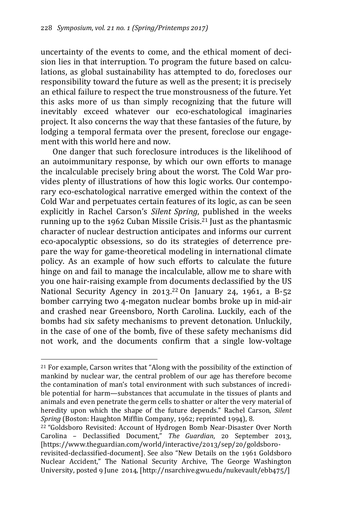uncertainty of the events to come, and the ethical moment of decision lies in that interruption. To program the future based on calculations, as global sustainability has attempted to do, forecloses our responsibility toward the future as well as the present; it is precisely an ethical failure to respect the true monstrousness of the future. Yet this asks more of us than simply recognizing that the future will inevitably exceed whatever our eco-eschatological imaginaries project. It also concerns the way that these fantasies of the future, by lodging a temporal fermata over the present, foreclose our engagement with this world here and now.

One danger that such foreclosure introduces is the likelihood of an autoimmunitary response, by which our own efforts to manage the incalculable precisely bring about the worst. The Cold War provides plenty of illustrations of how this logic works. Our contemporary eco-eschatological narrative emerged within the context of the Cold War and perpetuates certain features of its logic, as can be seen explicitly in Rachel Carson's *Silent Spring*, published in the weeks running up to the 1962 Cuban Missile Crisis.<sup>21</sup> Just as the phantasmic character of nuclear destruction anticipates and informs our current eco-apocalyptic obsessions, so do its strategies of deterrence prepare the way for game-theoretical modeling in international climate policy. As an example of how such efforts to calculate the future hinge on and fail to manage the incalculable, allow me to share with you one hair-raising example from documents declassified by the US National Security Agency in 2013.<sup>22</sup> On January 24, 1961, a B-52 bomber carrying two 4-megaton nuclear bombs broke up in mid-air and crashed near Greensboro, North Carolina. Luckily, each of the bombs had six safety mechanisms to prevent detonation. Unluckily, in the case of one of the bomb, five of these safety mechanisms did not work, and the documents confirm that a single low-voltage

 $\overline{a}$ 

<sup>21</sup> For example, Carson writes that "Along with the possibility of the extinction of mankind by nuclear war, the central problem of our age has therefore become the contamination of man's total environment with such substances of incredible potential for harm—substances that accumulate in the tissues of plants and animals and even penetrate the germ cells to shatter or alter the very material of heredity upon which the shape of the future depends." Rachel Carson, *Silent Spring* (Boston: Haughton Mifflin Company, 1962; reprinted 1994), 8.

<sup>22</sup> "Goldsboro Revisited: Account of Hydrogen Bomb Near-Disaster Over North Carolina – Declassified Document," *The Guardian*, 20 September 2013, [https://www.theguardian.com/world/interactive/2013/sep/20/goldsbororevisited-declassified-document]. See also "New Details on the 1961 Goldsboro

Nuclear Accident," The National Security Archive, The George Washington University, posted 9 June 2014, [http://nsarchive.gwu.edu/nukevault/ebb475/]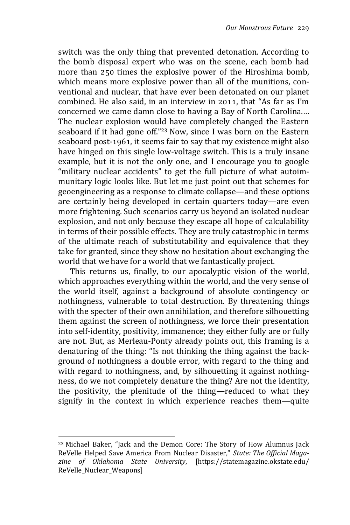switch was the only thing that prevented detonation. According to the bomb disposal expert who was on the scene, each bomb had more than 250 times the explosive power of the Hiroshima bomb, which means more explosive power than all of the munitions, conventional and nuclear, that have ever been detonated on our planet combined. He also said, in an interview in 2011, that "As far as I'm concerned we came damn close to having a Bay of North Carolina.… The nuclear explosion would have completely changed the Eastern seaboard if it had gone off."<sup>23</sup> Now, since I was born on the Eastern seaboard post-1961, it seems fair to say that my existence might also have hinged on this single low-voltage switch. This is a truly insane example, but it is not the only one, and I encourage you to google "military nuclear accidents" to get the full picture of what autoimmunitary logic looks like. But let me just point out that schemes for geoengineering as a response to climate collapse—and these options are certainly being developed in certain quarters today—are even more frightening. Such scenarios carry us beyond an isolated nuclear explosion, and not only because they escape all hope of calculability in terms of their possible effects. They are truly catastrophic in terms of the ultimate reach of substitutability and equivalence that they take for granted, since they show no hesitation about exchanging the world that we have for a world that we fantastically project.

This returns us, finally, to our apocalyptic vision of the world, which approaches everything within the world, and the very sense of the world itself, against a background of absolute contingency or nothingness, vulnerable to total destruction. By threatening things with the specter of their own annihilation, and therefore silhouetting them against the screen of nothingness, we force their presentation into self-identity, positivity, immanence; they either fully are or fully are not. But, as Merleau-Ponty already points out, this framing is a denaturing of the thing: "Is not thinking the thing against the background of nothingness a double error, with regard to the thing and with regard to nothingness, and, by silhouetting it against nothingness, do we not completely denature the thing? Are not the identity, the positivity, the plenitude of the thing—reduced to what they signify in the context in which experience reaches them—quite

 $\overline{a}$ 

<sup>23</sup> Michael Baker, "Jack and the Demon Core: The Story of How Alumnus Jack ReVelle Helped Save America From Nuclear Disaster," *State: The Official Magazine of Oklahoma State University*, [https://statemagazine.okstate.edu/ ReVelle\_Nuclear\_Weapons]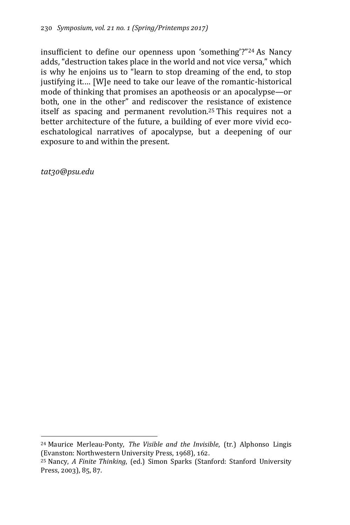insufficient to define our openness upon 'something'?"<sup>24</sup> As Nancy adds, "destruction takes place in the world and not vice versa," which is why he enjoins us to "learn to stop dreaming of the end, to stop justifying it.… [W]e need to take our leave of the romantic-historical mode of thinking that promises an apotheosis or an apocalypse—or both, one in the other" and rediscover the resistance of existence itself as spacing and permanent revolution.<sup>25</sup> This requires not a better architecture of the future, a building of ever more vivid ecoeschatological narratives of apocalypse, but a deepening of our exposure to and within the present.

*tat30@psu.edu*

 $\overline{a}$ 

<sup>24</sup> Maurice Merleau-Ponty, *The Visible and the Invisible*, (tr.) Alphonso Lingis (Evanston: Northwestern University Press, 1968), 162.

<sup>25</sup> Nancy, *A Finite Thinking*, (ed.) Simon Sparks (Stanford: Stanford University Press, 2003), 85, 87.